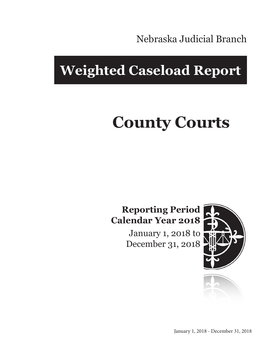Nebraska Judicial Branch

## **Weighted Caseload Report**

# **County Courts**

#### **Reporting Period Calendar Year 2018**

January 1, 2018 to December 31, 2018



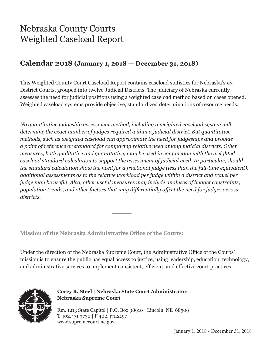### Nebraska County Courts Weighted Caseload Report

#### **Calendar 2018 (January 1, 2018 — December 31, 2018)**

This Weighted County Court Caseload Report contains caseload statistics for Nebraska's 93 District Courts, grouped into twelve Judicial Districts. The judiciary of Nebraska currently assesses the need for judicial positions using a weighted caseload method based on cases opened. Weighted caseload systems provide objective, standardized determinations of resource needs.

*No quantitative judgeship assessment method, including a weighted caseload system will determine the exact number of judges required within a judicial district. But quantitative methods, such as weighted caseload can approximate the need for judgeships and provide a point of reference or standard for comparing relative need among judicial districts. Other measures, both qualitative and quantitative, may be used in conjunction with the weighted caseload standard calculation to support the assessment of judicial need. In particular, should the standard calculation show the need for a fractional judge (less than the full-time equivalent), additional assessments as to the relative workload per judge within a district and travel per judge may be useful. Also, other useful measures may include analyses of budget constraints, population trends, and other factors that may differentially affect the need for judges across districts.*

**Mission of the Nebraska Administrative Office of the Courts:**

Under the direction of the Nebraska Supreme Court, the Administrative Office of the Courts' mission is to ensure the public has equal access to justice, using leadership, education, technology, and administrative services to implement consistent, efficient, and effective court practices.



**Corey R. Steel | Nebraska State Court Administrator Nebraska Supreme Court**

Rm. 1213 State Capitol | P.O. Box 98910 | Lincoln, NE 68509 T 402.471.3730 | F 402.471.2197 www.supremecourt.ne.gov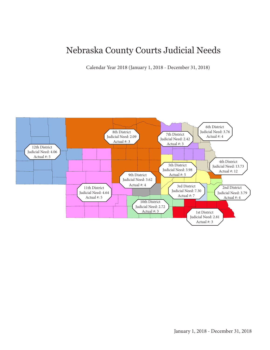#### Nebraska County Courts Judicial Needs

Calendar Year 2018 (January 1, 2018 - December 31, 2018)

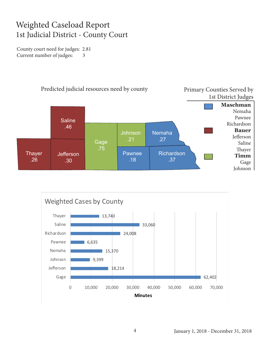#### Weighted Caseload Report 1st Judicial District - County Court

County court need for judges: 2.81 Current number of judges: 3



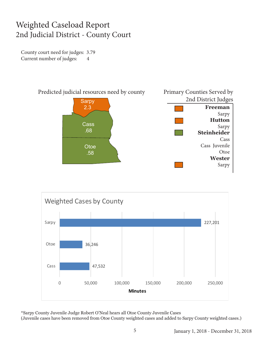#### Weighted Caseload Report 2nd Judicial District - County Court

County court need for judges: 3.79 Current number of judges: 4





\*Sarpy County Juvenile Judge Robert O'Neal hears all Otoe County Juvenile Cases

(Juvenile cases have been removed from Otoe County weighted cases and added to Sarpy County weighted cases.)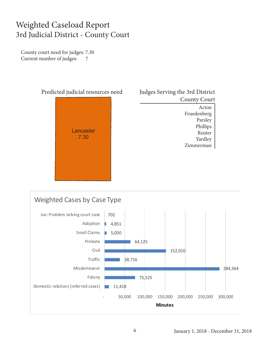#### Weighted Caseload Report 3rd Judicial District - County Court

County court need for judges: 7.30 Current number of judges: 7



| Judges Serving the 3rd District |
|---------------------------------|
| <b>County Court</b>             |
| Acton                           |
| Fruedenberg                     |
| Parsley                         |
| Phillips                        |
| Reuter                          |
| Yardley                         |
| merman<br>Zin                   |
|                                 |

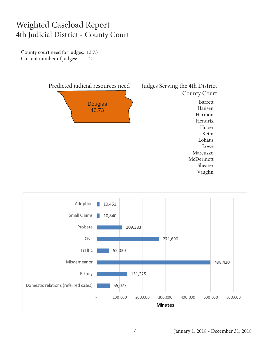#### Weighted Caseload Report 4th Judicial District - County Court

County court need for judges: 13.73 Current number of judges: 12



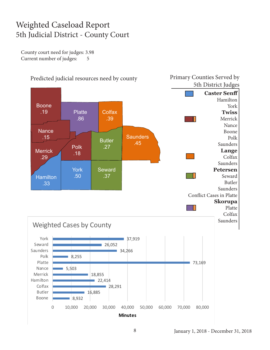#### Weighted Caseload Report 5th Judicial District - County Court

County court need for judges: 3.98 Current number of judges: 5

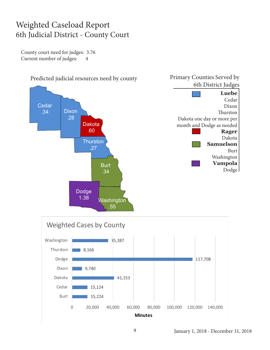#### Weighted Caseload Report 6th Judicial District - County Court

County court need for judges: 3.76 Current number of judges: 4



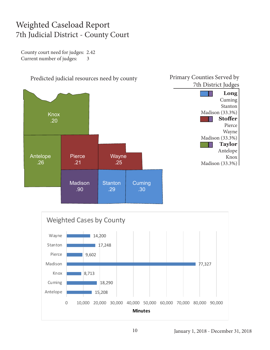#### Weighted Caseload Report 7th Judicial District - County Court

County court need for judges: 2.42 Current number of judges: 3



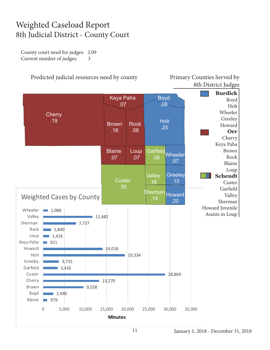#### Weighted Caseload Report 8th Judicial District - County Court

County court need for judges: 2.09 Current number of judges: 3

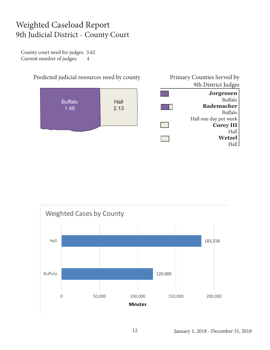#### Weighted Caseload Report 9th Judicial District - County Court

County court need for judges: 3.62 Current number of judges: 4





January 1, 2018 - December 31, 2018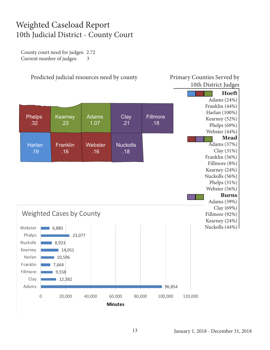#### Weighted Caseload Report 10th Judicial District - County Court

County court need for judges: 2.72 Current number of judges: 3

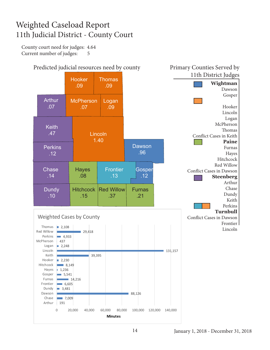#### Weighted Caseload Report 11th Judicial District - County Court

County court need for judges: 4.64 Current number of judges: 5